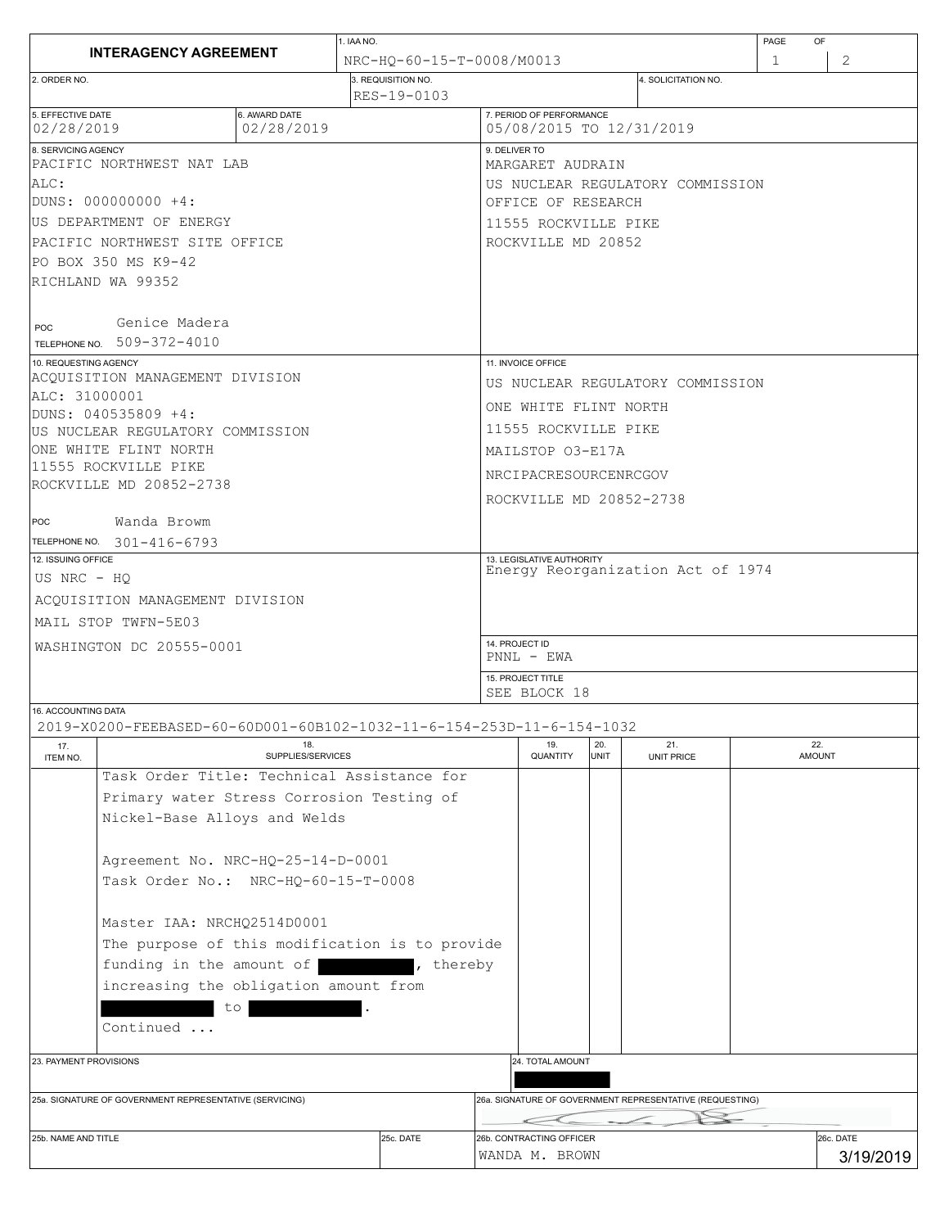|                                                                                              |                             |                           | 1. IAA NO.                        |                                            |                                                          |                    |                                   |   | PAGE<br><b>OF</b>      |  |
|----------------------------------------------------------------------------------------------|-----------------------------|---------------------------|-----------------------------------|--------------------------------------------|----------------------------------------------------------|--------------------|-----------------------------------|---|------------------------|--|
| <b>INTERAGENCY AGREEMENT</b>                                                                 |                             | NRC-HO-60-15-T-0008/M0013 |                                   |                                            |                                                          |                    |                                   | 1 | 2                      |  |
| 2. ORDER NO.                                                                                 |                             |                           | 3. REQUISITION NO.<br>RES-19-0103 |                                            |                                                          |                    | 4. SOLICITATION NO.               |   |                        |  |
| 5. EFFECTIVE DATE<br>02/28/2019                                                              | 6. AWARD DATE<br>02/28/2019 |                           |                                   |                                            | 7. PERIOD OF PERFORMANCE                                 |                    | 05/08/2015 TO 12/31/2019          |   |                        |  |
| 8. SERVICING AGENCY<br>PACIFIC NORTHWEST NAT LAB                                             |                             |                           |                                   | 9. DELIVER TO<br>MARGARET AUDRAIN          |                                                          |                    |                                   |   |                        |  |
| ALC:                                                                                         |                             |                           |                                   | US NUCLEAR REGULATORY COMMISSION           |                                                          |                    |                                   |   |                        |  |
| DUNS: 000000000 +4:                                                                          |                             |                           |                                   | OFFICE OF RESEARCH                         |                                                          |                    |                                   |   |                        |  |
| US DEPARTMENT OF ENERGY                                                                      |                             |                           |                                   | 11555 ROCKVILLE PIKE                       |                                                          |                    |                                   |   |                        |  |
| PACIFIC NORTHWEST SITE OFFICE                                                                |                             |                           |                                   | ROCKVILLE MD 20852                         |                                                          |                    |                                   |   |                        |  |
| PO BOX 350 MS K9-42                                                                          |                             |                           |                                   |                                            |                                                          |                    |                                   |   |                        |  |
| RICHLAND WA 99352                                                                            |                             |                           |                                   |                                            |                                                          |                    |                                   |   |                        |  |
|                                                                                              |                             |                           |                                   |                                            |                                                          |                    |                                   |   |                        |  |
| Genice Madera<br>POC                                                                         |                             |                           |                                   |                                            |                                                          |                    |                                   |   |                        |  |
| TELEPHONE NO. 509-372-4010                                                                   |                             |                           |                                   |                                            |                                                          |                    |                                   |   |                        |  |
| 10. REQUESTING AGENCY                                                                        |                             |                           |                                   |                                            | 11. INVOICE OFFICE                                       |                    |                                   |   |                        |  |
| ACOUISITION MANAGEMENT DIVISION                                                              |                             |                           |                                   | US NUCLEAR REGULATORY COMMISSION           |                                                          |                    |                                   |   |                        |  |
| ALC: 31000001<br>DUNS: 040535809 +4:                                                         |                             |                           |                                   | ONE WHITE FLINT NORTH                      |                                                          |                    |                                   |   |                        |  |
| US NUCLEAR REGULATORY COMMISSION                                                             |                             |                           |                                   | 11555 ROCKVILLE PIKE                       |                                                          |                    |                                   |   |                        |  |
| ONE WHITE FLINT NORTH                                                                        |                             |                           |                                   | MAILSTOP 03-E17A                           |                                                          |                    |                                   |   |                        |  |
| 11555 ROCKVILLE PIKE                                                                         |                             |                           |                                   | NRCIPACRESOURCENRCGOV                      |                                                          |                    |                                   |   |                        |  |
| ROCKVILLE MD 20852-2738                                                                      |                             |                           |                                   |                                            |                                                          |                    |                                   |   |                        |  |
|                                                                                              |                             |                           |                                   | ROCKVILLE MD 20852-2738                    |                                                          |                    |                                   |   |                        |  |
| Wanda Browm<br>POC                                                                           |                             |                           |                                   |                                            |                                                          |                    |                                   |   |                        |  |
| TELEPHONE NO. 301-416-6793<br>12. ISSUING OFFICE                                             |                             |                           |                                   | 13. LEGISLATIVE AUTHORITY                  |                                                          |                    |                                   |   |                        |  |
| US NRC - HQ                                                                                  |                             |                           |                                   |                                            |                                                          |                    | Energy Reorganization Act of 1974 |   |                        |  |
|                                                                                              |                             |                           |                                   |                                            |                                                          |                    |                                   |   |                        |  |
| ACOUISITION MANAGEMENT DIVISION                                                              |                             |                           |                                   |                                            |                                                          |                    |                                   |   |                        |  |
| MAIL STOP TWFN-5E03                                                                          |                             |                           |                                   | 14. PROJECT ID                             |                                                          |                    |                                   |   |                        |  |
| WASHINGTON DC 20555-0001                                                                     |                             |                           |                                   | $PNNL - EWA$                               |                                                          |                    |                                   |   |                        |  |
|                                                                                              |                             |                           |                                   | 15. PROJECT TITLE                          |                                                          |                    |                                   |   |                        |  |
|                                                                                              |                             |                           |                                   |                                            | SEE BLOCK 18                                             |                    |                                   |   |                        |  |
| 16. ACCOUNTING DATA<br>2019-X0200-FEEBASED-60-60D001-60B102-1032-11-6-154-253D-11-6-154-1032 |                             |                           |                                   |                                            |                                                          |                    |                                   |   |                        |  |
| 17.<br>ITEM NO.                                                                              | 18.<br>SUPPLIES/SERVICES    |                           |                                   |                                            | 19.<br>QUANTITY                                          | 20.<br><b>UNIT</b> | 21.<br>UNIT PRICE                 |   | 22.<br><b>AMOUNT</b>   |  |
| Task Order Title: Technical Assistance for                                                   |                             |                           |                                   |                                            |                                                          |                    |                                   |   |                        |  |
| Primary water Stress Corrosion Testing of                                                    |                             |                           |                                   |                                            |                                                          |                    |                                   |   |                        |  |
| Nickel-Base Alloys and Welds                                                                 |                             |                           |                                   |                                            |                                                          |                    |                                   |   |                        |  |
|                                                                                              |                             |                           |                                   |                                            |                                                          |                    |                                   |   |                        |  |
| Agreement No. NRC-HQ-25-14-D-0001                                                            |                             |                           |                                   |                                            |                                                          |                    |                                   |   |                        |  |
| Task Order No.: NRC-HQ-60-15-T-0008                                                          |                             |                           |                                   |                                            |                                                          |                    |                                   |   |                        |  |
|                                                                                              |                             |                           |                                   |                                            |                                                          |                    |                                   |   |                        |  |
| Master IAA: NRCHO2514D0001                                                                   |                             |                           |                                   |                                            |                                                          |                    |                                   |   |                        |  |
| The purpose of this modification is to provide                                               |                             |                           |                                   |                                            |                                                          |                    |                                   |   |                        |  |
| funding in the amount of<br>, thereby                                                        |                             |                           |                                   |                                            |                                                          |                    |                                   |   |                        |  |
| increasing the obligation amount from                                                        |                             |                           |                                   |                                            |                                                          |                    |                                   |   |                        |  |
| to                                                                                           |                             |                           |                                   |                                            |                                                          |                    |                                   |   |                        |  |
| Continued                                                                                    |                             |                           |                                   |                                            |                                                          |                    |                                   |   |                        |  |
|                                                                                              |                             |                           |                                   |                                            |                                                          |                    |                                   |   |                        |  |
| 23. PAYMENT PROVISIONS                                                                       |                             |                           |                                   | 24. TOTAL AMOUNT                           |                                                          |                    |                                   |   |                        |  |
|                                                                                              |                             |                           |                                   |                                            |                                                          |                    |                                   |   |                        |  |
| 25a. SIGNATURE OF GOVERNMENT REPRESENTATIVE (SERVICING)                                      |                             |                           |                                   |                                            | 26a. SIGNATURE OF GOVERNMENT REPRESENTATIVE (REQUESTING) |                    |                                   |   |                        |  |
|                                                                                              |                             |                           |                                   |                                            |                                                          |                    |                                   |   |                        |  |
| 25b. NAME AND TITLE<br>25c. DATE                                                             |                             |                           |                                   | 26b. CONTRACTING OFFICER<br>WANDA M. BROWN |                                                          |                    |                                   |   | 26c. DATE<br>3/19/2019 |  |